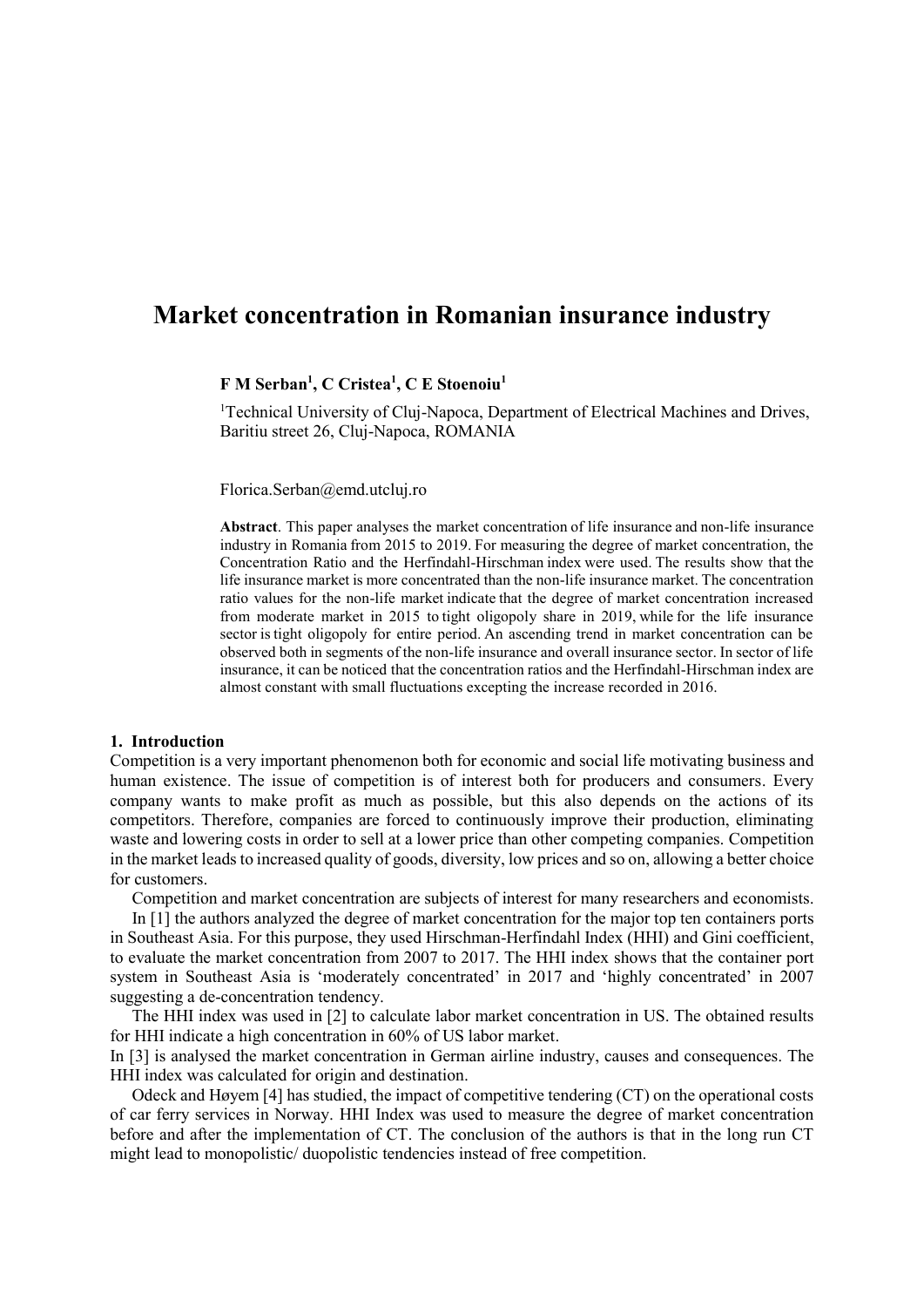# **Market concentration in Romanian insurance industry**

**F M Serban<sup>1</sup> , C Cristea<sup>1</sup> , C E Stoenoiu<sup>1</sup>**

<sup>1</sup>Technical University of Cluj-Napoca, Department of Electrical Machines and Drives, Baritiu street 26, Cluj-Napoca, ROMANIA

Florica.Serban@emd.utcluj.ro

**Abstract**. This paper analyses the market concentration of life insurance and non-life insurance industry in Romania from 2015 to 2019. For measuring the degree of market concentration, the Concentration Ratio and the Herfindahl-Hirschman index were used. The results show that the life insurance market is more concentrated than the non-life insurance market. The concentration ratio values for the non-life market indicate that the degree of market concentration increased from moderate market in 2015 to tight oligopoly share in 2019, while for the life insurance sector is tight oligopoly for entire period. An ascending trend in market concentration can be observed both in segments of the non-life insurance and overall insurance sector. In sector of life insurance, it can be noticed that the concentration ratios and the Herfindahl-Hirschman index are almost constant with small fluctuations excepting the increase recorded in 2016.

### **1. Introduction**

Competition is a very important phenomenon both for economic and social life motivating business and human existence. The issue of competition is of interest both for producers and consumers. Every company wants to make profit as much as possible, but this also depends on the actions of its competitors. Therefore, companies are forced to continuously improve their production, eliminating waste and lowering costs in order to sell at a lower price than other competing companies. Competition in the market leads to increased quality of goods, diversity, low prices and so on, allowing a better choice for customers.

Competition and market concentration are subjects of interest for many researchers and economists.

In [1] the authors analyzed the degree of market concentration for the major top ten containers ports in Southeast Asia. For this purpose, they used Hirschman-Herfindahl Index (HHI) and Gini coefficient, to evaluate the market concentration from 2007 to 2017. The HHI index shows that the container port system in Southeast Asia is 'moderately concentrated' in 2017 and 'highly concentrated' in 2007 suggesting a de-concentration tendency.

The HHI index was used in [2] to calculate labor market concentration in US. The obtained results for HHI indicate a high concentration in 60% of US labor market.

In [3] is analysed the market concentration in German airline industry, causes and consequences. The HHI index was calculated for origin and destination.

[Odeck](https://www-sciencedirect-com.am.e-nformation.ro/science/article/pii/S0739885920300810#!) and [Høyem](https://www-sciencedirect-com.am.e-nformation.ro/science/article/pii/S0739885920300810#!) [4] has studied, the impact of competitive tendering (CT) on the operational costs of car ferry services in Norway. HHI Index was used to measure the degree of market concentration before and after the implementation of CT. The conclusion of the authors is that in the long run CT might lead to monopolistic/ duopolistic tendencies instead of free competition.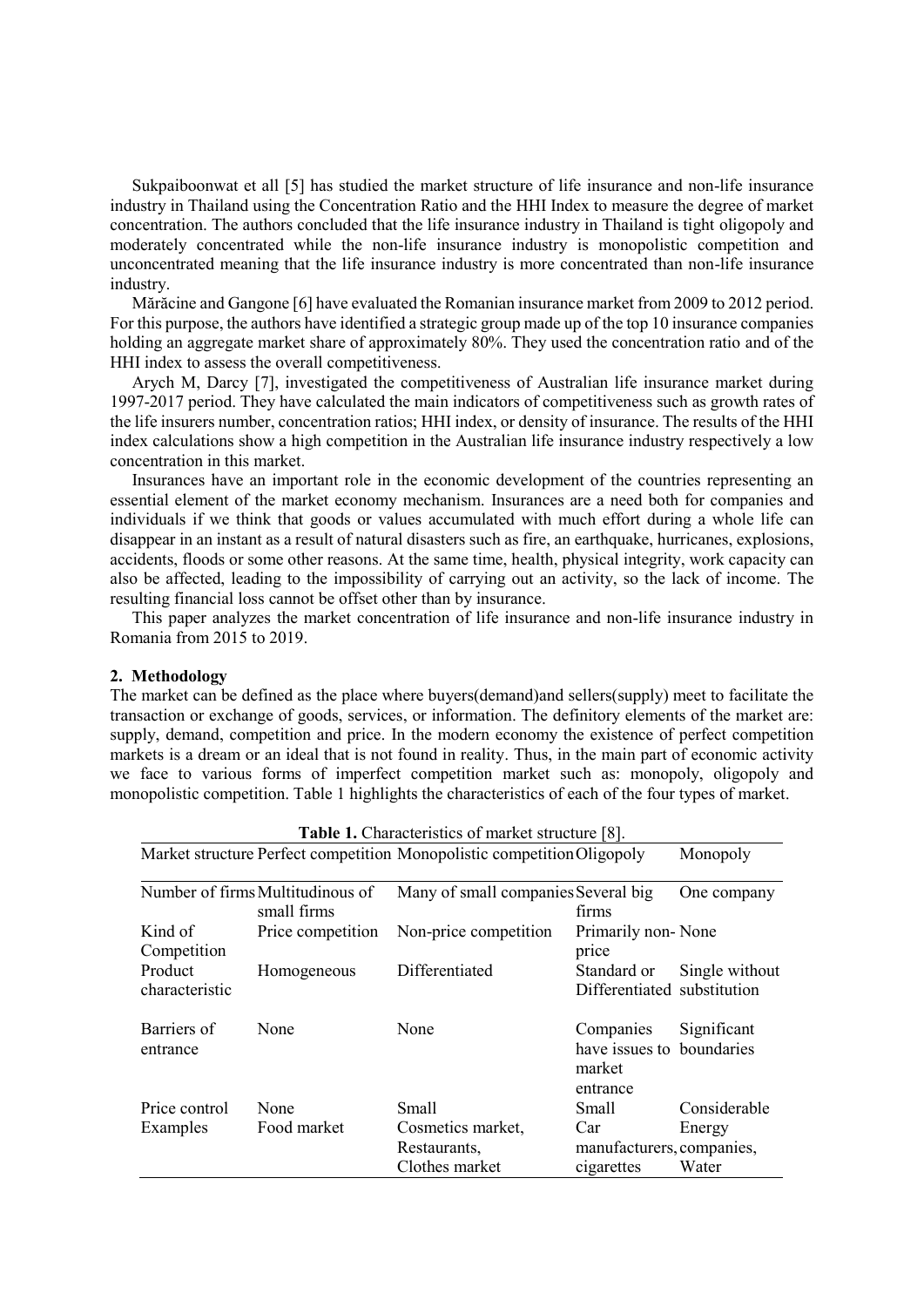Sukpaiboonwat et all [5] has studied the market structure of life insurance and non-life insurance industry in Thailand using the Concentration Ratio and the HHI Index to measure the degree of market concentration. The authors concluded that the life insurance industry in Thailand is tight oligopoly and moderately concentrated while the non-life insurance industry is monopolistic competition and unconcentrated meaning that the life insurance industry is more concentrated than non-life insurance industry.

Mărăcine and Gangone [6] have evaluated the Romanian insurance market from 2009 to 2012 period. For this purpose, the authors have identified a strategic group made up of the top 10 insurance companies holding an aggregate market share of approximately 80%. They used the concentration ratio and of the HHI index to assess the overall competitiveness.

Arych M, Darcy [7], investigated the competitiveness of Australian life insurance market during 1997-2017 period. They have calculated the main indicators of competitiveness such as growth rates of the life insurers number, concentration ratios; HHI index, or density of insurance. The results of the HHI index calculations show a high competition in the Australian life insurance industry respectively a low concentration in this market.

Insurances have an important role in the economic development of the countries representing an essential element of the market economy mechanism. Insurances are a need both for companies and individuals if we think that goods or values accumulated with much effort during a whole life can disappear in an instant as a result of natural disasters such as fire, an earthquake, hurricanes, explosions, accidents, floods or some other reasons. At the same time, health, physical integrity, work capacity can also be affected, leading to the impossibility of carrying out an activity, so the lack of income. The resulting financial loss cannot be offset other than by insurance.

This paper analyzes the market concentration of life insurance and non-life insurance industry in Romania from 2015 to 2019.

## **2. Methodology**

The market can be defined as the place where buyers(demand)and sellers(supply) meet to facilitate the transaction or exchange of goods, services, or information. The definitory elements of the market are: supply, demand, competition and price. In the modern economy the existence of perfect competition markets is a dream or an ideal that is not found in reality. Thus, in the main part of economic activity we face to various forms of imperfect competition market such as: monopoly, oligopoly and monopolistic competition. Table 1 highlights the characteristics of each of the four types of market.

| <b>Table 1.</b> Characteristics of market structure [8].                |                                                 |                                                     |                                                              |                 |  |
|-------------------------------------------------------------------------|-------------------------------------------------|-----------------------------------------------------|--------------------------------------------------------------|-----------------|--|
| Market structure Perfect competition Monopolistic competition Oligopoly | Monopoly                                        |                                                     |                                                              |                 |  |
|                                                                         | Number of firms Multitudinous of<br>small firms | Many of small companies Several big                 | firms                                                        | One company     |  |
| Kind of<br>Competition                                                  | Price competition                               | Non-price competition                               | Primarily non-None<br>price                                  |                 |  |
| Product<br>characteristic                                               | Homogeneous                                     | Differentiated                                      | Standard or<br>Differentiated substitution                   | Single without  |  |
| Barriers of<br>entrance                                                 | None                                            | None                                                | Companies<br>have issues to boundaries<br>market<br>entrance | Significant     |  |
| Price control                                                           | None                                            | Small                                               | Small                                                        | Considerable    |  |
| Examples                                                                | Food market                                     | Cosmetics market,<br>Restaurants,<br>Clothes market | Car<br>manufacturers, companies,<br>cigarettes               | Energy<br>Water |  |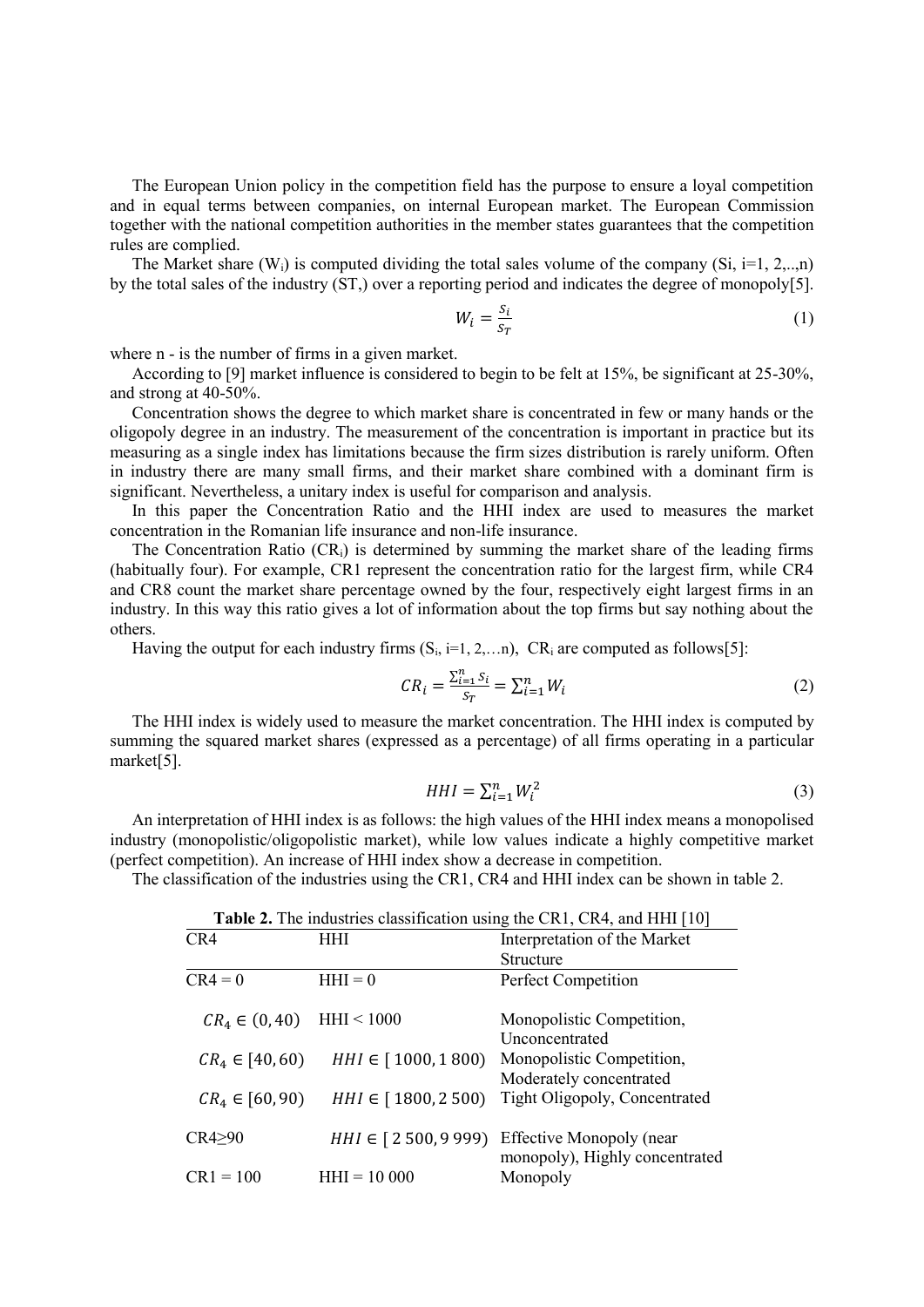The European Union policy in the competition field has the purpose to ensure a loyal competition and in equal terms between companies, on internal European market. The European Commission together with the national competition authorities in the member states guarantees that the competition rules are complied.

The Market share (W<sub>i</sub>) is computed dividing the total sales volume of the company (Si,  $i=1, 2, \ldots, n$ ) by the total sales of the industry (ST,) over a reporting period and indicates the degree of monopoly[5].

$$
W_i = \frac{S_i}{S_T} \tag{1}
$$

where n - is the number of firms in a given market.

According to [9] market influence is considered to begin to be felt at 15%, be significant at 25-30%, and strong at 40-50%.

Concentration shows the degree to which market share is concentrated in few or many hands or the oligopoly degree in an industry. The measurement of the concentration is important in practice but its measuring as a single index has limitations because the firm sizes distribution is rarely uniform. Often in industry there are many small firms, and their market share combined with a dominant firm is significant. Nevertheless, a unitary index is useful for comparison and analysis.

In this paper the Concentration Ratio and the HHI index are used to measures the market concentration in the Romanian life insurance and non-life insurance.

The Concentration Ratio (CR<sub>i</sub>) is determined by summing the market share of the leading firms (habitually four). For example, CR1 represent the concentration ratio for the largest firm, while CR4 and CR8 count the market share percentage owned by the four, respectively eight largest firms in an industry. In this way this ratio gives a lot of information about the top firms but say nothing about the others.

Having the output for each industry firms  $(S_i, i=1, 2,...n)$ ,  $CR_i$  are computed as follows[5]:

$$
CR_i = \frac{\sum_{i=1}^{n} S_i}{S_T} = \sum_{i=1}^{n} W_i
$$
\n
$$
(2)
$$

The HHI index is widely used to measure the market concentration. The HHI index is computed by summing the squared market shares (expressed as a [percentage\)](https://www.omnicalculator.com/math/percentage) of all firms operating in a particular market[5].

$$
HHI = \sum_{i=1}^{n} W_i^2 \tag{3}
$$

An interpretation of HHI index is as follows: the high values of the HHI index means a monopolised industry (monopolistic/oligopolistic market), while low values indicate a highly competitive market (perfect competition). An increase of HHI index show a decrease in competition.

The classification of the industries using the CR1, CR4 and HHI index can be shown in table 2.

| <b>Table 2.</b> The measures enassineation asing the CKT, CKT, and THIT [TV] |                        |                                                                   |  |
|------------------------------------------------------------------------------|------------------------|-------------------------------------------------------------------|--|
| CR4                                                                          | HHI                    | Interpretation of the Market                                      |  |
|                                                                              |                        | <b>Structure</b>                                                  |  |
| $CR4 = 0$                                                                    | $HHI = 0$              | Perfect Competition                                               |  |
| $CR_4 \in (0, 40)$ HHI < 1000                                                |                        | Monopolistic Competition,<br>Unconcentrated                       |  |
| $CR_4 \in [40, 60)$                                                          | $HHI \in [1000, 1800)$ | Monopolistic Competition,<br>Moderately concentrated              |  |
| $CR_4 \in [60, 90)$                                                          | $HHI \in [1800, 2500)$ | Tight Oligopoly, Concentrated                                     |  |
| CR4>90                                                                       | $HHI \in [2500, 9999]$ | <b>Effective Monopoly (near</b><br>monopoly), Highly concentrated |  |
| $CR1 = 100$                                                                  | $HHI = 10000$          | Monopoly                                                          |  |

**Table 2.** The industries classification using the CR1, CR4, and HHI [10]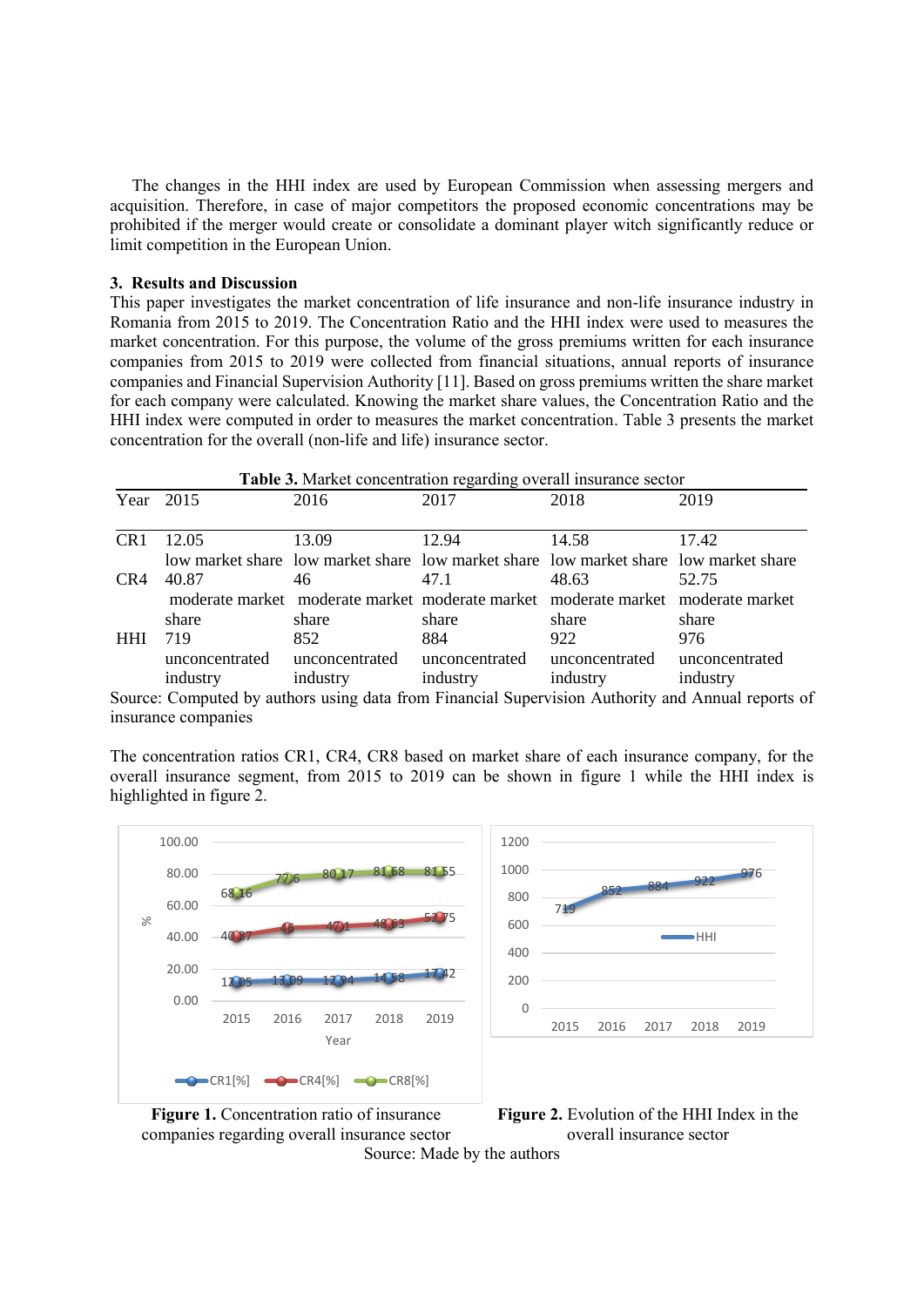The changes in the HHI index are used by European Commission when assessing mergers and acquisition. Therefore, in case of major competitors the proposed economic concentrations may be prohibited if the merger would create or consolidate a dominant player witch significantly reduce or limit competition in the European Union.

#### **3. Results and Discussion**

This paper investigates the market concentration of life insurance and non-life insurance industry in Romania from 2015 to 2019. The Concentration Ratio and the HHI index were used to measures the market concentration. For this purpose, the volume of the gross premiums written for each insurance companies from 2015 to 2019 were collected from financial situations, annual reports of insurance companies and Financial Supervision Authority [11]. Based on gross premiums written the share market for each company were calculated. Knowing the market share values, the Concentration Ratio and the HHI index were computed in order to measures the market concentration. Table 3 presents the market concentration for the overall (non-life and life) insurance sector.

| Table 3. Market concentration regarding overall insurance sector |                |                                                                                      |                |                |                |
|------------------------------------------------------------------|----------------|--------------------------------------------------------------------------------------|----------------|----------------|----------------|
| Year                                                             | 2015           | 2016                                                                                 | 2017           | 2018           | 2019           |
| CR1                                                              | 12.05          | 13.09                                                                                | 12.94          | 14.58          | 17.42          |
|                                                                  |                | low market share low market share low market share low market share low market share |                |                |                |
| CR4                                                              | 40.87          | 46                                                                                   | 47.1           | 48.63          | 52.75          |
|                                                                  |                | moderate market moderate market moderate market moderate market moderate market      |                |                |                |
|                                                                  | share          | share                                                                                | share          | share          | share          |
| <b>HHI</b>                                                       | 719            | 852                                                                                  | 884            | 922            | 976            |
|                                                                  | unconcentrated | unconcentrated                                                                       | unconcentrated | unconcentrated | unconcentrated |
|                                                                  | industry       | industry                                                                             | industry       | industry       | industry       |

Source: Computed by authors using data from Financial Supervision Authority and Annual reports of insurance companies

The concentration ratios CR1, CR4, CR8 based on market share of each insurance company, for the overall insurance segment, from 2015 to 2019 can be shown in figure 1 while the HHI index is highlighted in figure 2.





**Figure 1.** Concentration ratio of insurance companies regarding overall insurance sector



Source: Made by the authors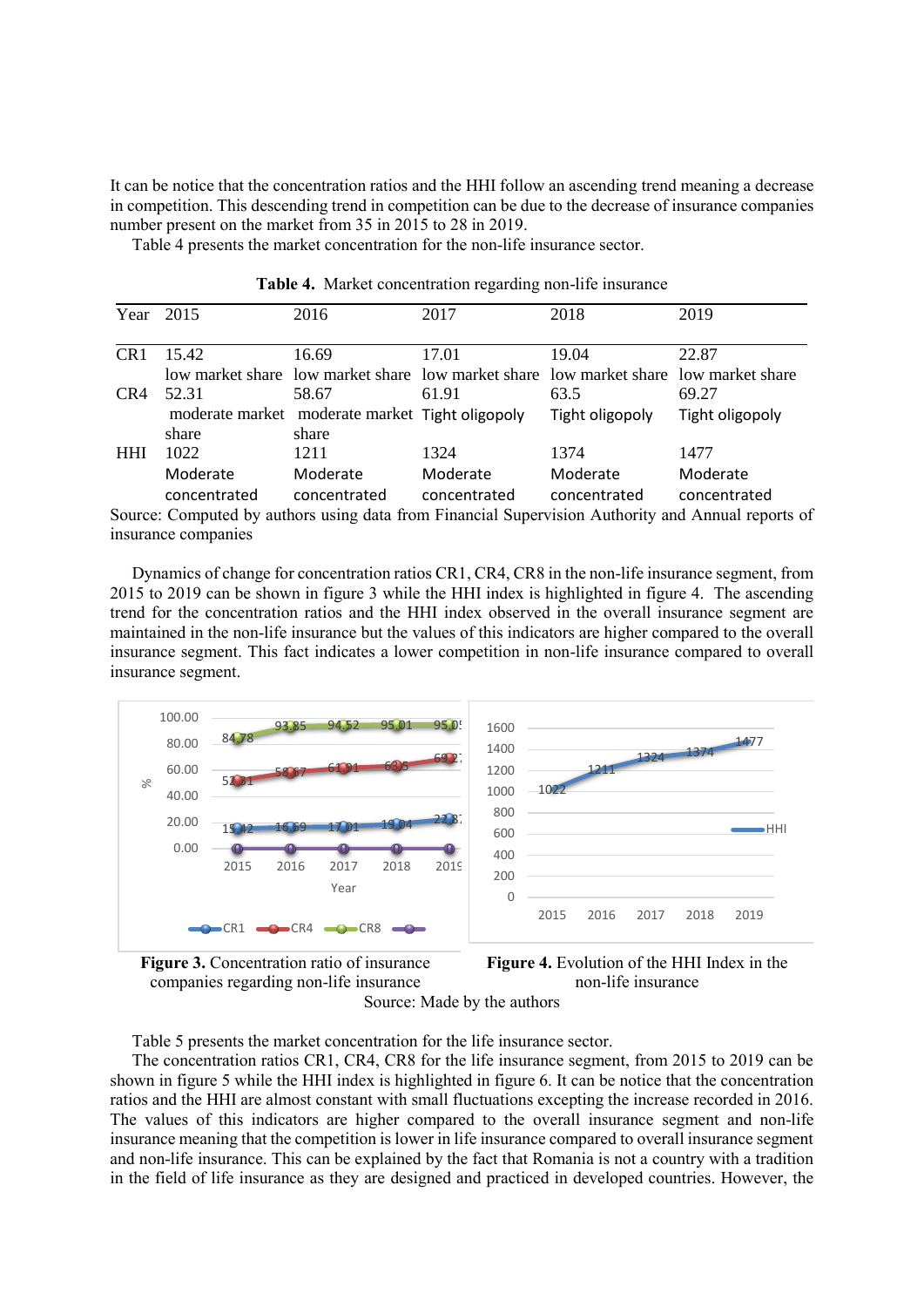It can be notice that the concentration ratios and the HHI follow an ascending trend meaning a decrease in competition. This descending trend in competition can be due to the decrease of insurance companies number present on the market from 35 in 2015 to 28 in 2019.

Table 4 presents the market concentration for the non-life insurance sector.

|            | Year 2015           | 2016                                                                                 | 2017         | 2018            | 2019                                                                                              |
|------------|---------------------|--------------------------------------------------------------------------------------|--------------|-----------------|---------------------------------------------------------------------------------------------------|
| CR1        | 15.42               | 16.69                                                                                | 17.01        | 19.04           | 22.87                                                                                             |
|            |                     | low market share low market share low market share low market share low market share |              |                 |                                                                                                   |
| CR4        | 52.31               | 58.67                                                                                | 61.91        | 63.5            | 69.27                                                                                             |
|            |                     | moderate market moderate market Tight oligopoly                                      |              | Tight oligopoly | Tight oligopoly                                                                                   |
|            | share               | share                                                                                |              |                 |                                                                                                   |
| <b>HHI</b> | 1022                | 1211                                                                                 | 1324         | 1374            | 1477                                                                                              |
|            | Moderate            | Moderate                                                                             | Moderate     | Moderate        | Moderate                                                                                          |
|            | concentrated        | concentrated                                                                         | concentrated | concentrated    | concentrated                                                                                      |
|            |                     |                                                                                      |              |                 | Source: Computed by authors using data from Financial Supervision Authority and Annual reports of |
|            | insurance companies |                                                                                      |              |                 |                                                                                                   |

**Table 4.** Market concentration regarding non-life insurance

Dynamics of change for concentration ratios CR1, CR4, CR8 in the non-life insurance segment, from 2015 to 2019 can be shown in figure 3 while the HHI index is highlighted in figure 4. The ascending trend for the concentration ratios and the HHI index observed in the overall insurance segment are maintained in the non-life insurance but the values of this indicators are higher compared to the overall insurance segment. This fact indicates a lower competition in non-life insurance compared to overall insurance segment.







1477

 $-HH$ 

Source: Made by the authors

Table 5 presents the market concentration for the life insurance sector.

The concentration ratios CR1, CR4, CR8 for the life insurance segment, from 2015 to 2019 can be shown in figure 5 while the HHI index is highlighted in figure 6. It can be notice that the concentration ratios and the HHI are almost constant with small fluctuations excepting the increase recorded in 2016. The values of this indicators are higher compared to the overall insurance segment and non-life insurance meaning that the competition is lower in life insurance compared to overall insurance segment and non-life insurance. This can be explained by the fact that Romania is not a country with a tradition in the field of life insurance as they are designed and practiced in developed countries. However, the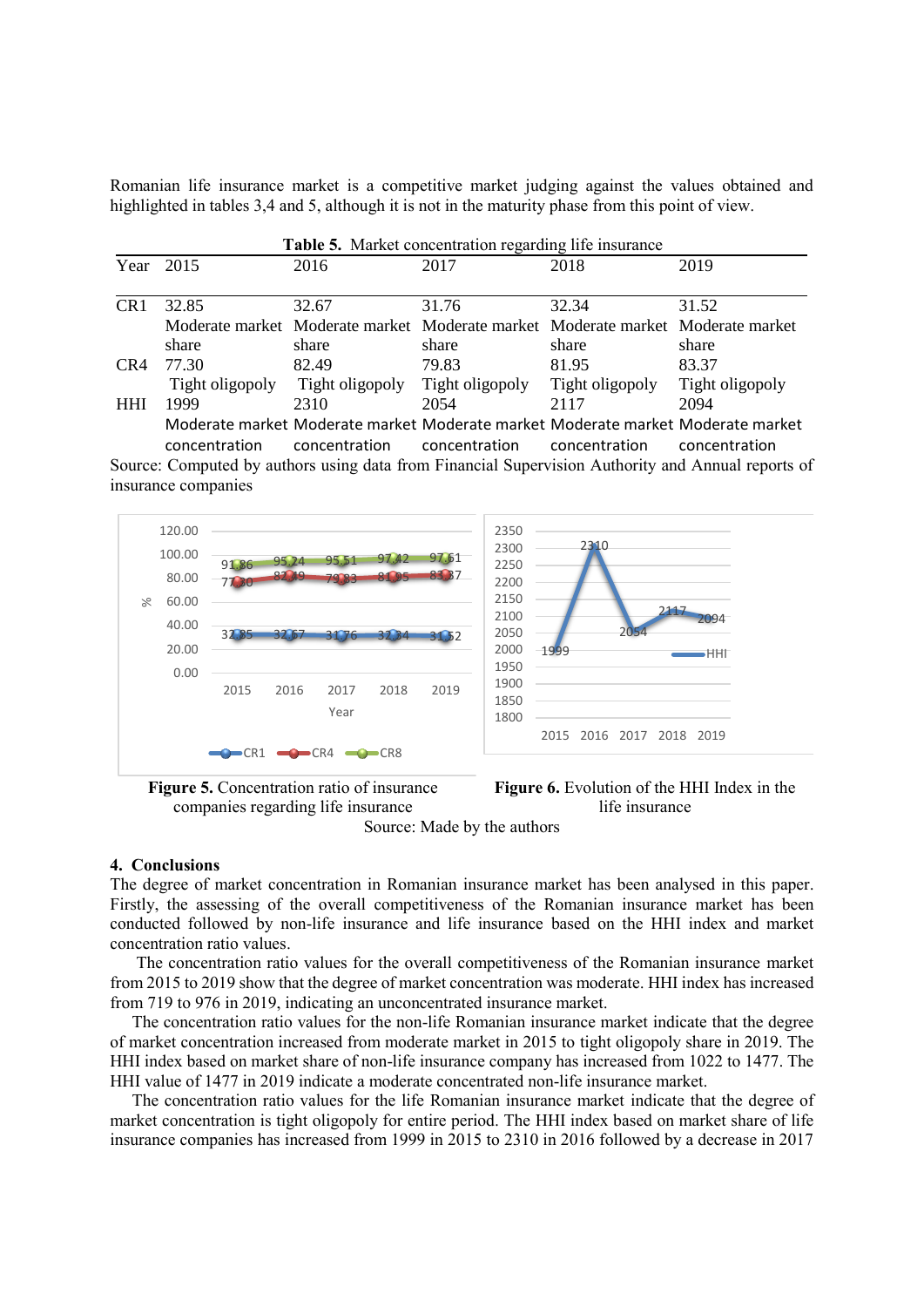Romanian life insurance market is a competitive market judging against the values obtained and highlighted in tables 3,4 and 5, although it is not in the maturity phase from this point of view.

| Table 5. Market concentration regarding life insurance |                 |                                                                                 |                 |                 |                                                                                 |
|--------------------------------------------------------|-----------------|---------------------------------------------------------------------------------|-----------------|-----------------|---------------------------------------------------------------------------------|
| Year                                                   | 2015            | 2016                                                                            | 2017            | 2018            | 2019                                                                            |
| CR <sub>1</sub>                                        | 32.85           | 32.67                                                                           | 31.76           | 32.34           | 31.52                                                                           |
|                                                        |                 | Moderate market Moderate market Moderate market Moderate market Moderate market |                 |                 |                                                                                 |
|                                                        | share           | share                                                                           | share           | share           | share                                                                           |
| CR4                                                    | 77.30           | 82.49                                                                           | 79.83           | 81.95           | 83.37                                                                           |
|                                                        | Tight oligopoly | Tight oligopoly                                                                 | Tight oligopoly | Tight oligopoly | Tight oligopoly                                                                 |
| <b>HHI</b>                                             | 1999            | 2310                                                                            | 2054            | 2117            | 2094                                                                            |
|                                                        |                 |                                                                                 |                 |                 | Moderate market Moderate market Moderate market Moderate market Moderate market |
|                                                        | concentration   | concentration                                                                   | concentration   | concentration   | concentration                                                                   |

Source: Computed by authors using data from Financial Supervision Authority and Annual reports of insurance companies



**Figure 5.** Concentration ratio of insurance companies regarding life insurance



Source: Made by the authors

#### **4. Conclusions**

The degree of market concentration in Romanian insurance market has been analysed in this paper. Firstly, the assessing of the overall competitiveness of the Romanian insurance market has been conducted followed by non-life insurance and life insurance based on the HHI index and market concentration ratio values.

The concentration ratio values for the overall competitiveness of the Romanian insurance market from 2015 to 2019 show that the degree of market concentration was moderate. HHI index has increased from 719 to 976 in 2019, indicating an unconcentrated insurance market.

The concentration ratio values for the non-life Romanian insurance market indicate that the degree of market concentration increased from moderate market in 2015 to tight oligopoly share in 2019. The HHI index based on market share of non-life insurance company has increased from 1022 to 1477. The HHI value of 1477 in 2019 indicate a moderate concentrated non-life insurance market.

The concentration ratio values for the life Romanian insurance market indicate that the degree of market concentration is tight oligopoly for entire period. The HHI index based on market share of life insurance companies has increased from 1999 in 2015 to 2310 in 2016 followed by a decrease in 2017